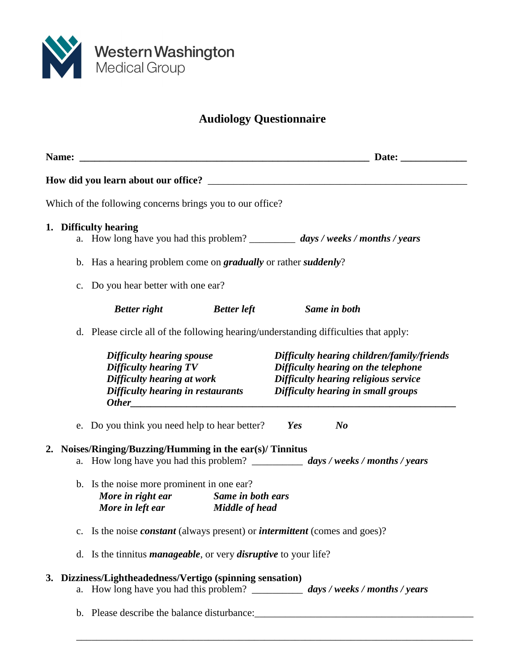

## **Audiology Questionnaire**

| Which of the following concerns brings you to our office?    |                                                                                                                      |                                                                                                                                                                                                                              |
|--------------------------------------------------------------|----------------------------------------------------------------------------------------------------------------------|------------------------------------------------------------------------------------------------------------------------------------------------------------------------------------------------------------------------------|
| 1. Difficulty hearing                                        |                                                                                                                      | a. How long have you had this problem? ___________ days / weeks / months / years                                                                                                                                             |
|                                                              | b. Has a hearing problem come on <i>gradually</i> or rather <i>suddenly</i> ?                                        |                                                                                                                                                                                                                              |
| c. Do you hear better with one ear?                          |                                                                                                                      |                                                                                                                                                                                                                              |
| <b>Better right</b>                                          | <b>Better left</b>                                                                                                   | Same in both                                                                                                                                                                                                                 |
|                                                              |                                                                                                                      | d. Please circle all of the following hearing/understanding difficulties that apply:                                                                                                                                         |
| Difficulty hearing spouse<br>Difficulty hearing TV           |                                                                                                                      | Difficulty hearing children/family/friends<br>Difficulty hearing on the telephone<br>Difficulty hearing at work Difficulty hearing religious service<br>Difficulty hearing in restaurants Difficulty hearing in small groups |
|                                                              | e. Do you think you need help to hear better?                                                                        | Yes<br>$\bm{N}$                                                                                                                                                                                                              |
| Noises/Ringing/Buzzing/Humming in the ear(s)/ Tinnitus<br>2. |                                                                                                                      | a. How long have you had this problem? ____________ days / weeks / months / years                                                                                                                                            |
|                                                              | b. Is the noise more prominent in one ear?<br>More in right ear Same in both ears<br>More in left ear Middle of head |                                                                                                                                                                                                                              |
|                                                              |                                                                                                                      | c. Is the noise <i>constant</i> (always present) or <i>intermittent</i> (comes and goes)?                                                                                                                                    |
|                                                              | d. Is the tinnitus <i>manageable</i> , or very <i>disruptive</i> to your life?                                       |                                                                                                                                                                                                                              |
| 3. Dizziness/Lightheadedness/Vertigo (spinning sensation)    |                                                                                                                      | a. How long have you had this problem? _____________ days / weeks / months / years                                                                                                                                           |
|                                                              |                                                                                                                      |                                                                                                                                                                                                                              |